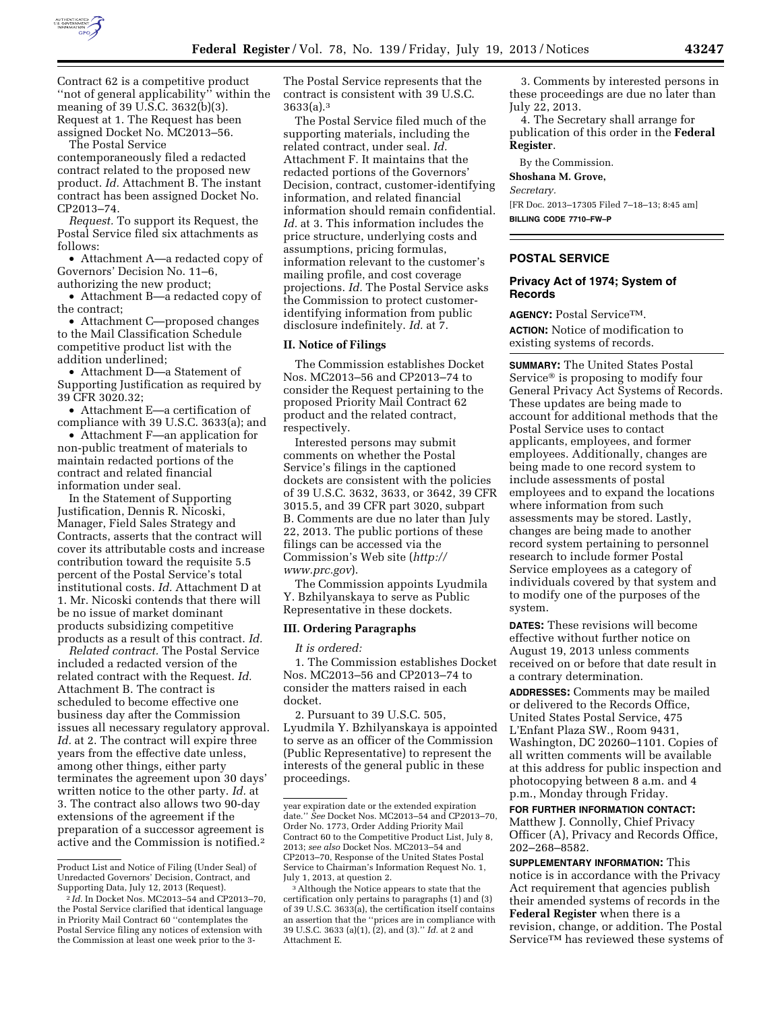

Contract 62 is a competitive product ''not of general applicability'' within the meaning of 39 U.S.C. 3632(b)(3). Request at 1. The Request has been assigned Docket No. MC2013–56.

The Postal Service

contemporaneously filed a redacted contract related to the proposed new product. *Id.* Attachment B. The instant contract has been assigned Docket No. CP2013–74.

*Request.* To support its Request, the Postal Service filed six attachments as follows:

• Attachment A—a redacted copy of Governors' Decision No. 11–6, authorizing the new product;

• Attachment B—a redacted copy of the contract;

• Attachment C—proposed changes to the Mail Classification Schedule competitive product list with the addition underlined;

• Attachment D—a Statement of Supporting Justification as required by 39 CFR 3020.32;

• Attachment E—a certification of compliance with 39 U.S.C. 3633(a); and

• Attachment F—an application for non-public treatment of materials to maintain redacted portions of the contract and related financial information under seal.

In the Statement of Supporting Justification, Dennis R. Nicoski, Manager, Field Sales Strategy and Contracts, asserts that the contract will cover its attributable costs and increase contribution toward the requisite 5.5 percent of the Postal Service's total institutional costs. *Id.* Attachment D at 1. Mr. Nicoski contends that there will be no issue of market dominant products subsidizing competitive products as a result of this contract. *Id.* 

*Related contract.* The Postal Service included a redacted version of the related contract with the Request. *Id.*  Attachment B. The contract is scheduled to become effective one business day after the Commission issues all necessary regulatory approval. *Id.* at 2. The contract will expire three years from the effective date unless, among other things, either party terminates the agreement upon 30 days' written notice to the other party. *Id.* at 3. The contract also allows two 90-day extensions of the agreement if the preparation of a successor agreement is active and the Commission is notified.2

The Postal Service represents that the contract is consistent with 39 U.S.C. 3633(a).3

The Postal Service filed much of the supporting materials, including the related contract, under seal. *Id.*  Attachment F. It maintains that the redacted portions of the Governors' Decision, contract, customer-identifying information, and related financial information should remain confidential. *Id.* at 3. This information includes the price structure, underlying costs and assumptions, pricing formulas, information relevant to the customer's mailing profile, and cost coverage projections. *Id.* The Postal Service asks the Commission to protect customeridentifying information from public disclosure indefinitely. *Id.* at 7.

# **II. Notice of Filings**

The Commission establishes Docket Nos. MC2013–56 and CP2013–74 to consider the Request pertaining to the proposed Priority Mail Contract 62 product and the related contract, respectively.

Interested persons may submit comments on whether the Postal Service's filings in the captioned dockets are consistent with the policies of 39 U.S.C. 3632, 3633, or 3642, 39 CFR 3015.5, and 39 CFR part 3020, subpart B. Comments are due no later than July 22, 2013. The public portions of these filings can be accessed via the Commission's Web site (*[http://](http://www.prc.gov)  [www.prc.gov](http://www.prc.gov)*).

The Commission appoints Lyudmila Y. Bzhilyanskaya to serve as Public Representative in these dockets.

#### **III. Ordering Paragraphs**

*It is ordered:* 

1. The Commission establishes Docket Nos. MC2013–56 and CP2013–74 to consider the matters raised in each docket.

2. Pursuant to 39 U.S.C. 505, Lyudmila Y. Bzhilyanskaya is appointed to serve as an officer of the Commission (Public Representative) to represent the interests of the general public in these proceedings.

3. Comments by interested persons in these proceedings are due no later than July 22, 2013.

4. The Secretary shall arrange for publication of this order in the **Federal Register**.

By the Commission.

#### **Shoshana M. Grove,**

*Secretary.* 

[FR Doc. 2013–17305 Filed 7–18–13; 8:45 am] **BILLING CODE 7710–FW–P** 

## **POSTAL SERVICE**

## **Privacy Act of 1974; System of Records**

**AGENCY:** Postal ServiceTM. **ACTION:** Notice of modification to existing systems of records.

**SUMMARY:** The United States Postal Service® is proposing to modify four General Privacy Act Systems of Records. These updates are being made to account for additional methods that the Postal Service uses to contact applicants, employees, and former employees. Additionally, changes are being made to one record system to include assessments of postal employees and to expand the locations where information from such assessments may be stored. Lastly, changes are being made to another record system pertaining to personnel research to include former Postal Service employees as a category of individuals covered by that system and to modify one of the purposes of the system.

**DATES:** These revisions will become effective without further notice on August 19, 2013 unless comments received on or before that date result in a contrary determination.

**ADDRESSES:** Comments may be mailed or delivered to the Records Office, United States Postal Service, 475 L'Enfant Plaza SW., Room 9431, Washington, DC 20260–1101. Copies of all written comments will be available at this address for public inspection and photocopying between 8 a.m. and 4 p.m., Monday through Friday.

## **FOR FURTHER INFORMATION CONTACT:**

Matthew J. Connolly, Chief Privacy Officer (A), Privacy and Records Office, 202–268–8582.

**SUPPLEMENTARY INFORMATION:** This notice is in accordance with the Privacy Act requirement that agencies publish their amended systems of records in the **Federal Register** when there is a revision, change, or addition. The Postal Service™ has reviewed these systems of

Product List and Notice of Filing (Under Seal) of Unredacted Governors' Decision, Contract, and Supporting Data, July 12, 2013 (Request).

<sup>2</sup> *Id.* In Docket Nos. MC2013–54 and CP2013–70, the Postal Service clarified that identical language in Priority Mail Contract 60 ''contemplates the Postal Service filing any notices of extension with the Commission at least one week prior to the 3-

year expiration date or the extended expiration date.'' *See* Docket Nos. MC2013–54 and CP2013–70, Order No. 1773, Order Adding Priority Mail Contract 60 to the Competitive Product List, July 8, 2013; *see also* Docket Nos. MC2013–54 and CP2013–70, Response of the United States Postal Service to Chairman's Information Request No. 1, July 1, 2013, at question 2.

<sup>&</sup>lt;sup>3</sup> Although the Notice appears to state that the certification only pertains to paragraphs (1) and (3) of 39 U.S.C. 3633(a), the certification itself contains an assertion that the ''prices are in compliance with 39 U.S.C. 3633 (a)(1), (2), and (3).'' *Id.* at 2 and Attachment E.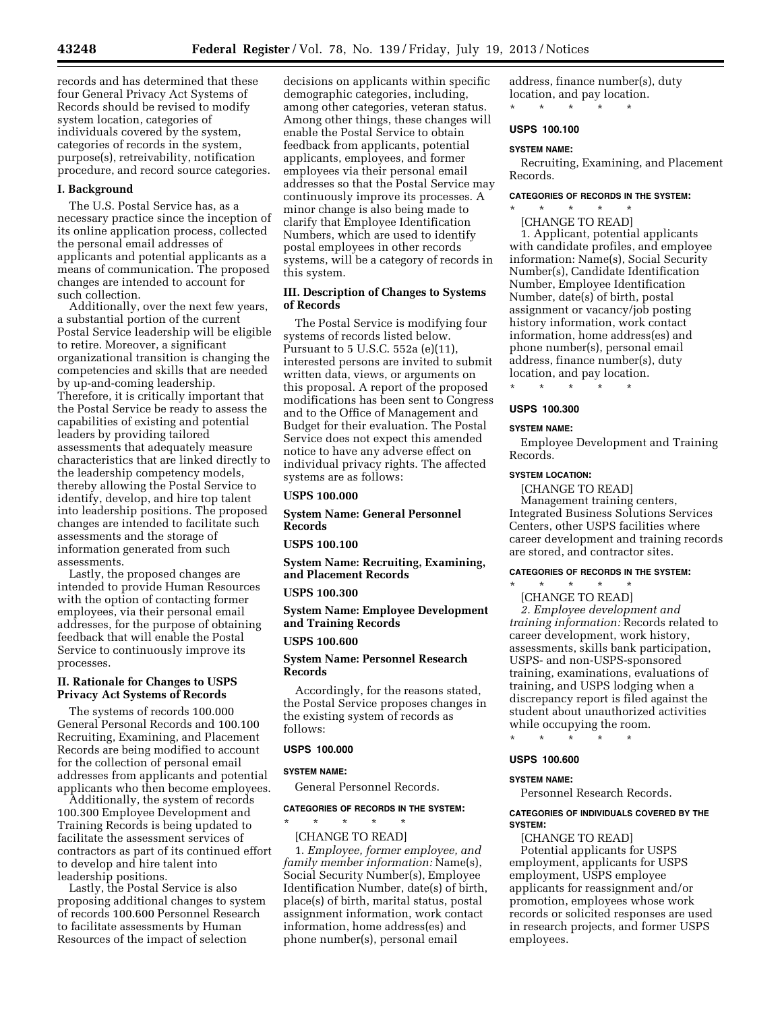records and has determined that these four General Privacy Act Systems of Records should be revised to modify system location, categories of individuals covered by the system, categories of records in the system, purpose(s), retreivability, notification procedure, and record source categories.

#### **I. Background**

The U.S. Postal Service has, as a necessary practice since the inception of its online application process, collected the personal email addresses of applicants and potential applicants as a means of communication. The proposed changes are intended to account for such collection.

Additionally, over the next few years, a substantial portion of the current Postal Service leadership will be eligible to retire. Moreover, a significant organizational transition is changing the competencies and skills that are needed by up-and-coming leadership. Therefore, it is critically important that the Postal Service be ready to assess the capabilities of existing and potential leaders by providing tailored assessments that adequately measure characteristics that are linked directly to the leadership competency models, thereby allowing the Postal Service to identify, develop, and hire top talent into leadership positions. The proposed changes are intended to facilitate such assessments and the storage of information generated from such assessments.

Lastly, the proposed changes are intended to provide Human Resources with the option of contacting former employees, via their personal email addresses, for the purpose of obtaining feedback that will enable the Postal Service to continuously improve its processes.

# **II. Rationale for Changes to USPS Privacy Act Systems of Records**

The systems of records 100.000 General Personal Records and 100.100 Recruiting, Examining, and Placement Records are being modified to account for the collection of personal email addresses from applicants and potential applicants who then become employees.

Additionally, the system of records 100.300 Employee Development and Training Records is being updated to facilitate the assessment services of contractors as part of its continued effort to develop and hire talent into leadership positions.

Lastly, the Postal Service is also proposing additional changes to system of records 100.600 Personnel Research to facilitate assessments by Human Resources of the impact of selection

decisions on applicants within specific demographic categories, including, among other categories, veteran status. Among other things, these changes will enable the Postal Service to obtain feedback from applicants, potential applicants, employees, and former employees via their personal email addresses so that the Postal Service may continuously improve its processes. A minor change is also being made to clarify that Employee Identification Numbers, which are used to identify postal employees in other records systems, will be a category of records in this system.

## **III. Description of Changes to Systems of Records**

The Postal Service is modifying four systems of records listed below. Pursuant to 5 U.S.C. 552a (e)(11), interested persons are invited to submit written data, views, or arguments on this proposal. A report of the proposed modifications has been sent to Congress and to the Office of Management and Budget for their evaluation. The Postal Service does not expect this amended notice to have any adverse effect on individual privacy rights. The affected systems are as follows:

#### **USPS 100.000**

**System Name: General Personnel Records** 

#### **USPS 100.100**

**System Name: Recruiting, Examining, and Placement Records** 

#### **USPS 100.300**

**System Name: Employee Development and Training Records** 

# **USPS 100.600**

## **System Name: Personnel Research Records**

Accordingly, for the reasons stated, the Postal Service proposes changes in the existing system of records as follows:

## **USPS 100.000**

#### **SYSTEM NAME:**

General Personnel Records.

# **CATEGORIES OF RECORDS IN THE SYSTEM:**

\* \* \* \* \* [CHANGE TO READ]

1. *Employee, former employee, and family member information:* Name(s), Social Security Number(s), Employee Identification Number, date(s) of birth, place(s) of birth, marital status, postal assignment information, work contact information, home address(es) and phone number(s), personal email

address, finance number(s), duty location, and pay location. \* \* \* \* \*

#### **USPS 100.100**

#### **SYSTEM NAME:**

Recruiting, Examining, and Placement Records.

#### **CATEGORIES OF RECORDS IN THE SYSTEM:**

\* \* \* \* \*

[CHANGE TO READ] 1. Applicant, potential applicants with candidate profiles, and employee information: Name(s), Social Security Number(s), Candidate Identification Number, Employee Identification Number, date(s) of birth, postal assignment or vacancy/job posting history information, work contact information, home address(es) and phone number(s), personal email address, finance number(s), duty location, and pay location. \* \* \* \* \*

# **USPS 100.300**

#### **SYSTEM NAME:**

Employee Development and Training Records.

#### **SYSTEM LOCATION:**

[CHANGE TO READ] Management training centers, Integrated Business Solutions Services Centers, other USPS facilities where career development and training records are stored, and contractor sites.

#### **CATEGORIES OF RECORDS IN THE SYSTEM:**

\* \* \* \* \* [CHANGE TO READ] *2. Employee development and training information:* Records related to career development, work history, assessments, skills bank participation, USPS- and non-USPS-sponsored training, examinations, evaluations of training, and USPS lodging when a discrepancy report is filed against the student about unauthorized activities while occupying the room.

\* \* \* \* \*

## **USPS 100.600**

#### **SYSTEM NAME:**

Personnel Research Records.

## **CATEGORIES OF INDIVIDUALS COVERED BY THE SYSTEM:**

[CHANGE TO READ] Potential applicants for USPS employment, applicants for USPS employment, USPS employee applicants for reassignment and/or promotion, employees whose work records or solicited responses are used in research projects, and former USPS employees.